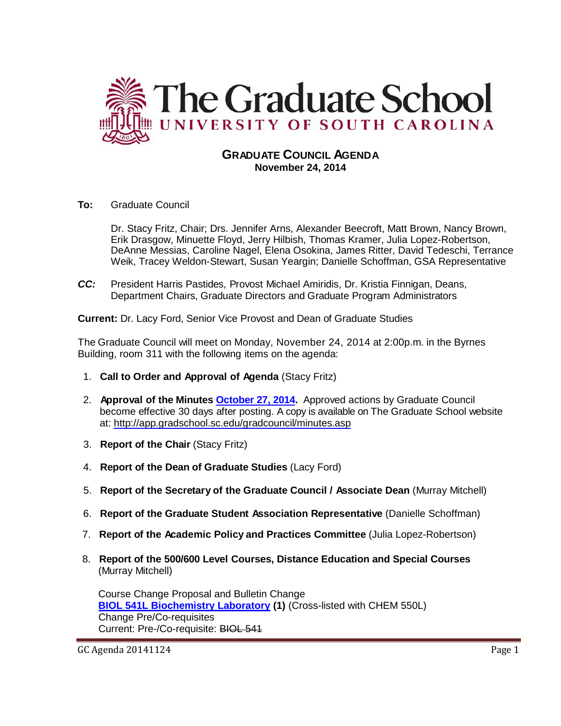

# **GRADUATE COUNCIL AGENDA November 24, 2014**

**To:** Graduate Council

Dr. Stacy Fritz, Chair; Drs. Jennifer Arns, Alexander Beecroft, Matt Brown, Nancy Brown, Erik Drasgow, Minuette Floyd, Jerry Hilbish, Thomas Kramer, Julia Lopez-Robertson, DeAnne Messias, Caroline Nagel, Elena Osokina, James Ritter, David Tedeschi, Terrance Weik, Tracey Weldon-Stewart, Susan Yeargin; Danielle Schoffman, GSA Representative

*CC:* President Harris Pastides, Provost Michael Amiridis, Dr. Kristia Finnigan, Deans, Department Chairs, Graduate Directors and Graduate Program Administrators

**Current:** Dr. Lacy Ford, Senior Vice Provost and Dean of Graduate Studies

The Graduate Council will meet on Monday, November 24, 2014 at 2:00p.m. in the Byrnes Building, room 311 with the following items on the agenda:

- 1. **Call to Order and Approval of Agenda** (Stacy Fritz)
- 2. **Approval of the Minutes [October 27, 2014.](http://gradschool.sc.edu/facstaff/gradcouncil/2014/GC%20Minutes%2010%2027%2014-1.pdf)** Approved actions by Graduate Council become effective 30 days after posting. A copy is available on The Graduate School website at:<http://app.gradschool.sc.edu/gradcouncil/minutes.asp>
- 3. **Report of the Chair** (Stacy Fritz)
- 4. **Report of the Dean of Graduate Studies** (Lacy Ford)
- 5. **Report of the Secretary of the Graduate Council / Associate Dean** (Murray Mitchell)
- 6. **Report of the Graduate Student Association Representative** (Danielle Schoffman)
- 7. **Report of the Academic Policy and Practices Committee** (Julia Lopez-Robertson)
- 8. **Report of the 500/600 Level Courses, Distance Education and Special Courses** (Murray Mitchell)

Course Change Proposal and Bulletin Change **[BIOL 541L Biochemistry Laboratory](http://gradschool.sc.edu/facstaff/gradcouncil/2014/BIOL%20541L%20CCP_Redacted.pdf) (1)** (Cross-listed with CHEM 550L) Change Pre/Co-requisites Current: Pre-/Co-requisite: BIOL 541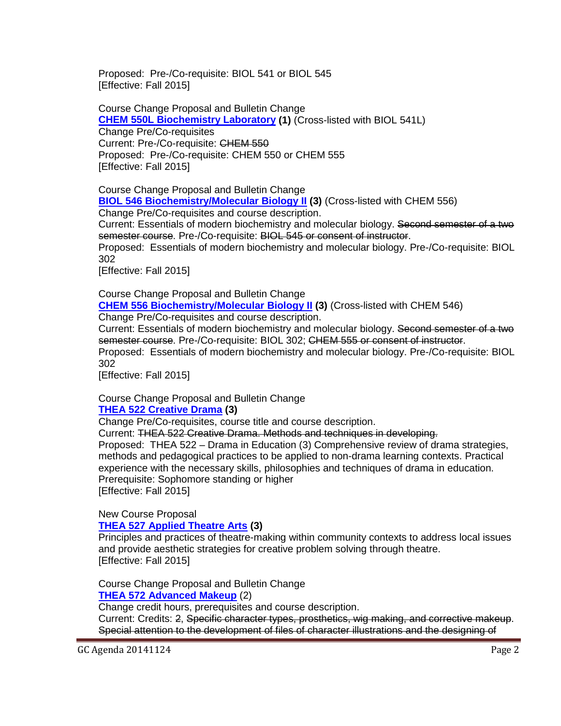Proposed: Pre-/Co-requisite: BIOL 541 or BIOL 545 [Effective: Fall 2015]

Course Change Proposal and Bulletin Change **[CHEM 550L Biochemistry Laboratory](http://gradschool.sc.edu/facstaff/gradcouncil/2014/CHEM%20550L%20CCP_Redacted.pdf) (1)** (Cross-listed with BIOL 541L) Change Pre/Co-requisites Current: Pre-/Co-requisite: CHEM 550 Proposed: Pre-/Co-requisite: CHEM 550 or CHEM 555 [Effective: Fall 2015]

Course Change Proposal and Bulletin Change **[BIOL 546 Biochemistry/Molecular Biology II](http://gradschool.sc.edu/facstaff/gradcouncil/2014/BIOL%20546%20CCP_Redacted.pdf) (3)** (Cross-listed with CHEM 556)

Change Pre/Co-requisites and course description.

Current: Essentials of modern biochemistry and molecular biology. Second semester of a two semester course. Pre-/Co-requisite: BIOL 545 or consent of instructor.

Proposed: Essentials of modern biochemistry and molecular biology. Pre-/Co-requisite: BIOL 302

[Effective: Fall 2015]

Course Change Proposal and Bulletin Change **CHEM 556 [Biochemistry/Molecular Biology II](http://gradschool.sc.edu/facstaff/gradcouncil/2014/CHEM%20556%20CCP_Redacted.pdf) (3)** (Cross-listed with CHEM 546)

Change Pre/Co-requisites and course description.

Current: Essentials of modern biochemistry and molecular biology. Second semester of a two semester course. Pre-/Co-requisite: BIOL 302; CHEM 555 or consent of instructor.

Proposed: Essentials of modern biochemistry and molecular biology. Pre-/Co-requisite: BIOL 302

[Effective: Fall 2015]

Course Change Proposal and Bulletin Change

## **[THEA 522 Creative Drama](http://gradschool.sc.edu/facstaff/gradcouncil/2014/THEA%20522%20CCP_Redacted.pdf) (3)**

Change Pre/Co-requisites, course title and course description.

Current: THEA 522 Creative Drama. Methods and techniques in developing.

Proposed: THEA 522 – Drama in Education (3) Comprehensive review of drama strategies, methods and pedagogical practices to be applied to non-drama learning contexts. Practical experience with the necessary skills, philosophies and techniques of drama in education. Prerequisite: Sophomore standing or higher [Effective: Fall 2015]

New Course Proposal

**THEA 527 [Applied Theatre Arts](http://gradschool.sc.edu/facstaff/gradcouncil/2014/THEA%20527%20NCP_Redacted.pdf) (3)**

Principles and practices of theatre-making within community contexts to address local issues and provide aesthetic strategies for creative problem solving through theatre. [Effective: Fall 2015]

Course Change Proposal and Bulletin Change **[THEA 572 Advanced Makeup](http://gradschool.sc.edu/facstaff/gradcouncil/2014/THEA%20572%20CCP_redacted.pdf)** (2)

Change credit hours, prerequisites and course description.

Current: Credits: 2, Specific character types, prosthetics, wig making, and corrective makeup. Special attention to the development of files of character illustrations and the designing of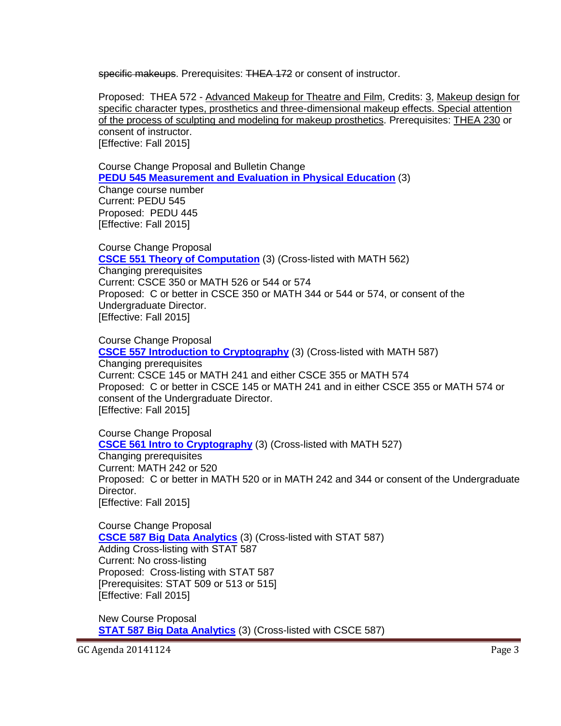specific makeups. Prerequisites: THEA 172 or consent of instructor.

Proposed: THEA 572 - Advanced Makeup for Theatre and Film, Credits: 3, Makeup design for specific character types, prosthetics and three-dimensional makeup effects. Special attention of the process of sculpting and modeling for makeup prosthetics. Prerequisites: THEA 230 or consent of instructor. [Effective: Fall 2015]

Course Change Proposal and Bulletin Change **PEDU 545 [Measurement and Evaluation in Physical Education](http://gradschool.sc.edu/facstaff/gradcouncil/2014/PEDU%20545%20CCP_Redacted.pdf)** (3)

Change course number Current: PEDU 545 Proposed: PEDU 445 [Effective: Fall 2015]

Course Change Proposal **[CSCE 551 Theory of Computation](http://gradschool.sc.edu/facstaff/gradcouncil/2014/CSCE%20551%20CCP_Redacted.pdf)** (3) (Cross-listed with MATH 562) Changing prerequisites Current: CSCE 350 or MATH 526 or 544 or 574 Proposed: C or better in CSCE 350 or MATH 344 or 544 or 574, or consent of the Undergraduate Director. [Effective: Fall 2015]

Course Change Proposal **[CSCE 557 Introduction to Cryptography](http://gradschool.sc.edu/facstaff/gradcouncil/2014/CSCE%20557%20CCP_Redacted.pdf)** (3) (Cross-listed with MATH 587) Changing prerequisites Current: CSCE 145 or MATH 241 and either CSCE 355 or MATH 574 Proposed: C or better in CSCE 145 or MATH 241 and in either CSCE 355 or MATH 574 or consent of the Undergraduate Director. [Effective: Fall 2015]

Course Change Proposal **[CSCE 561 Intro to Cryptography](http://gradschool.sc.edu/facstaff/gradcouncil/2014/CSCE%20561%20CCP_Redacted.pdf)** (3) (Cross-listed with MATH 527) Changing prerequisites Current: MATH 242 or 520 Proposed: C or better in MATH 520 or in MATH 242 and 344 or consent of the Undergraduate Director. [Effective: Fall 2015]

Course Change Proposal **[CSCE 587 Big Data Analytics](http://gradschool.sc.edu/facstaff/gradcouncil/2014/CSCE%20587%20CCP_Redacted.pdf)** (3) (Cross-listed with STAT 587) Adding Cross-listing with STAT 587 Current: No cross-listing Proposed: Cross-listing with STAT 587 [Prerequisites: STAT 509 or 513 or 515] [Effective: Fall 2015]

New Course Proposal **STAT 587 [Big Data Analytics](http://gradschool.sc.edu/facstaff/gradcouncil/2014/STAT%20587%20NCP_Redacted.pdf)** (3) (Cross-listed with CSCE 587)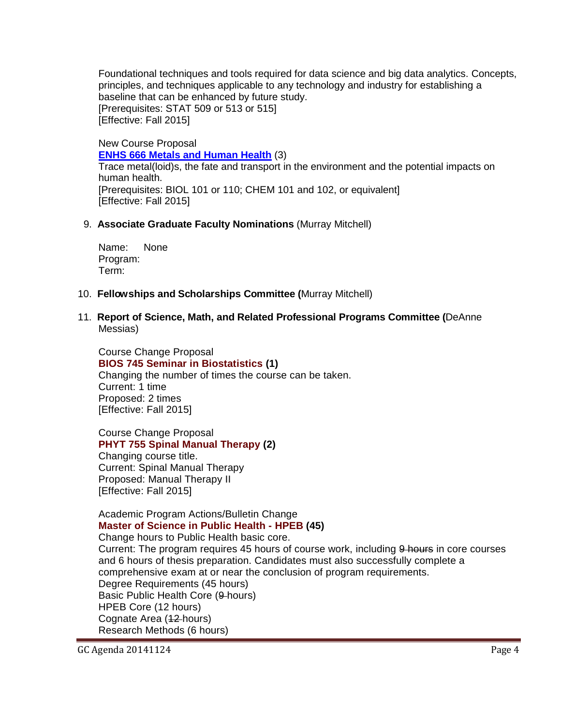Foundational techniques and tools required for data science and big data analytics. Concepts, principles, and techniques applicable to any technology and industry for establishing a baseline that can be enhanced by future study. [Prerequisites: STAT 509 or 513 or 515] [Effective: Fall 2015]

New Course Proposal **[ENHS 666 Metals and Human Health](http://gradschool.sc.edu/facstaff/gradcouncil/2014/ENHS%20666%20NCP_Redacted.pdf)** (3) Trace metal(loid)s, the fate and transport in the environment and the potential impacts on human health. [Prerequisites: BIOL 101 or 110; CHEM 101 and 102, or equivalent] [Effective: Fall 2015]

### 9. **Associate Graduate Faculty Nominations** (Murray Mitchell)

Name: None Program: Term:

- 10. **Fellowships and Scholarships Committee (**Murray Mitchell)
- 11. **Report of Science, Math, and Related Professional Programs Committee (**DeAnne Messias)

Course Change Proposal **[BIOS 745 Seminar in Biostatistics](http://gradschool.sc.edu/facstaff/gradcouncil/2014/BIOS%20745%20CCP.pdf) (1)** Changing the number of times the course can be taken. Current: 1 time Proposed: 2 times [Effective: Fall 2015]

Course Change Proposal **[PHYT 755 Spinal Manual Therapy](http://gradschool.sc.edu/facstaff/gradcouncil/2014/PHYT%20755%20CCP.pdf) (2)** Changing course title. Current: Spinal Manual Therapy Proposed: Manual Therapy II [Effective: Fall 2015]

### Academic Program Actions/Bulletin Change **[Master of Science in Public Health -](http://gradschool.sc.edu/facstaff/gradcouncil/2014/HPEB%20MSPH%20apa.pdf) HPEB (45)**

Change hours to Public Health basic core.

Current: The program requires 45 hours of course work, including 9 hours in core courses and 6 hours of thesis preparation. Candidates must also successfully complete a comprehensive exam at or near the conclusion of program requirements. Degree Requirements (45 hours) Basic Public Health Core (9-hours) HPEB Core (12 hours) Cognate Area (42-hours) Research Methods (6 hours)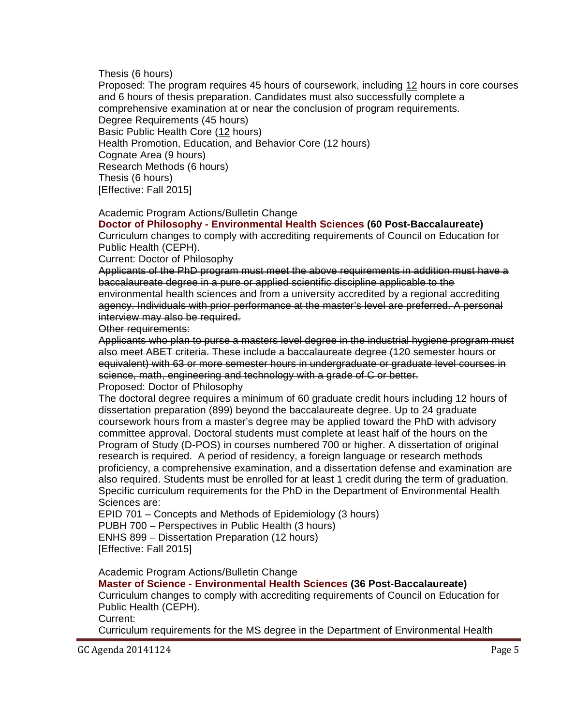Thesis (6 hours)

Proposed: The program requires 45 hours of coursework, including 12 hours in core courses and 6 hours of thesis preparation. Candidates must also successfully complete a comprehensive examination at or near the conclusion of program requirements. Degree Requirements (45 hours) Basic Public Health Core (12 hours) Health Promotion, Education, and Behavior Core (12 hours) Cognate Area (9 hours) Research Methods (6 hours) Thesis (6 hours) [Effective: Fall 2015]

Academic Program Actions/Bulletin Change

**Doctor of Philosophy - [Environmental Health Sciences](http://gradschool.sc.edu/facstaff/gradcouncil/2014/ENHS%20PhD%20APA%2011-3-2014.pdf) (60 Post-Baccalaureate)** Curriculum changes to comply with accrediting requirements of Council on Education for Public Health (CEPH).

Current: Doctor of Philosophy

Applicants of the PhD program must meet the above requirements in addition must have a baccalaureate degree in a pure or applied scientific discipline applicable to the environmental health sciences and from a university accredited by a regional accrediting agency. Individuals with prior performance at the master's level are preferred. A personal interview may also be required.

Other requirements:

Applicants who plan to purse a masters level degree in the industrial hygiene program must also meet ABET criteria. These include a baccalaureate degree (120 semester hours or equivalent) with 63 or more semester hours in undergraduate or graduate level courses in science, math, engineering and technology with a grade of C or better. Proposed: Doctor of Philosophy

The doctoral degree requires a minimum of 60 graduate credit hours including 12 hours of dissertation preparation (899) beyond the baccalaureate degree. Up to 24 graduate coursework hours from a master's degree may be applied toward the PhD with advisory committee approval. Doctoral students must complete at least half of the hours on the Program of Study (D-POS) in courses numbered 700 or higher. A dissertation of original research is required. A period of residency, a foreign language or research methods proficiency, a comprehensive examination, and a dissertation defense and examination are also required. Students must be enrolled for at least 1 credit during the term of graduation. Specific curriculum requirements for the PhD in the Department of Environmental Health Sciences are:

EPID 701 – Concepts and Methods of Epidemiology (3 hours)

PUBH 700 – Perspectives in Public Health (3 hours)

ENHS 899 – Dissertation Preparation (12 hours)

[Effective: Fall 2015]

Academic Program Actions/Bulletin Change

**Master of Science - [Environmental Health Sciences](http://gradschool.sc.edu/facstaff/gradcouncil/2014/ENHS%20MS%20APA%2011-3-2014.pdf) (36 Post-Baccalaureate)**

Curriculum changes to comply with accrediting requirements of Council on Education for Public Health (CEPH).

Current:

Curriculum requirements for the MS degree in the Department of Environmental Health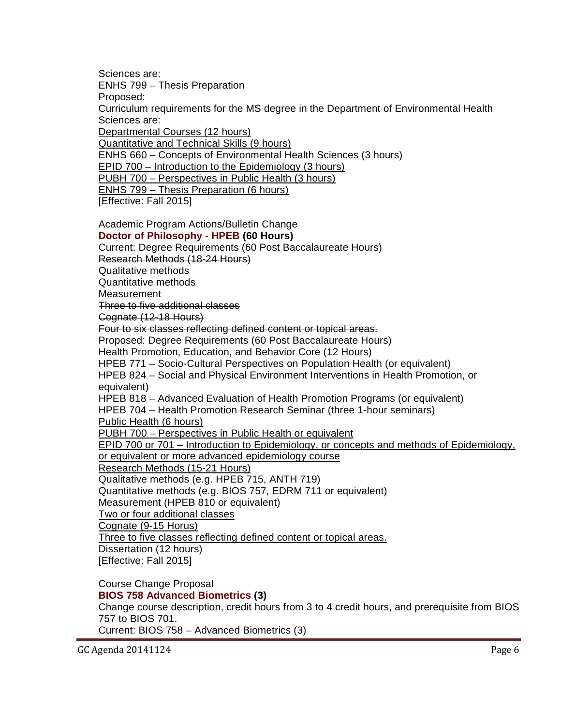Sciences are: ENHS 799 – Thesis Preparation Proposed: Curriculum requirements for the MS degree in the Department of Environmental Health Sciences are: Departmental Courses (12 hours) Quantitative and Technical Skills (9 hours) ENHS 660 – Concepts of Environmental Health Sciences (3 hours) EPID 700 – Introduction to the Epidemiology (3 hours) PUBH 700 – Perspectives in Public Health (3 hours) ENHS 799 – Thesis Preparation (6 hours) [Effective: Fall 2015] Academic Program Actions/Bulletin Change **[Doctor of Philosophy -](http://gradschool.sc.edu/facstaff/gradcouncil/2014/HPEB%20PhD%20APA%2011-3-2014.pdf) HPEB (60 Hours)** Current: Degree Requirements (60 Post Baccalaureate Hours) Research Methods (18-24 Hours) Qualitative methods Quantitative methods **Measurement** Three to five additional classes Cognate (12-18 Hours) Four to six classes reflecting defined content or topical areas. Proposed: Degree Requirements (60 Post Baccalaureate Hours) Health Promotion, Education, and Behavior Core (12 Hours) HPEB 771 – Socio-Cultural Perspectives on Population Health (or equivalent) HPEB 824 – Social and Physical Environment Interventions in Health Promotion, or equivalent)

HPEB 818 – Advanced Evaluation of Health Promotion Programs (or equivalent) HPEB 704 – Health Promotion Research Seminar (three 1-hour seminars)

Public Health (6 hours)

PUBH 700 – Perspectives in Public Health or equivalent

EPID 700 or 701 – Introduction to Epidemiology, or concepts and methods of Epidemiology, or equivalent or more advanced epidemiology course

Research Methods (15-21 Hours)

Qualitative methods (e.g. HPEB 715, ANTH 719)

Quantitative methods (e.g. BIOS 757, EDRM 711 or equivalent)

Measurement (HPEB 810 or equivalent)

Two or four additional classes

Cognate (9-15 Horus)

Three to five classes reflecting defined content or topical areas.

Dissertation (12 hours) [Effective: Fall 2015]

Course Change Proposal **[BIOS 758 Advanced Biometrics](http://gradschool.sc.edu/facstaff/gradcouncil/2014/BIOS%20758%20CCP.pdf) (3)** Change course description, credit hours from 3 to 4 credit hours, and prerequisite from BIOS 757 to BIOS 701. Current: BIOS 758 – Advanced Biometrics (3)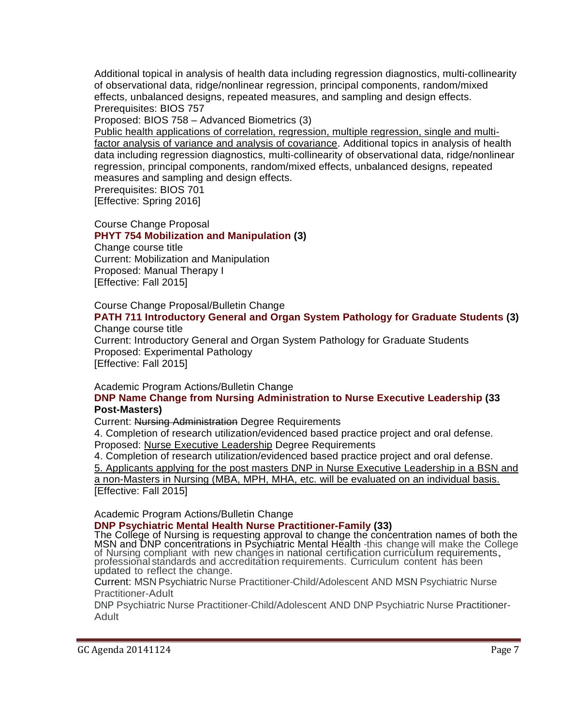Additional topical in analysis of health data including regression diagnostics, multi-collinearity of observational data, ridge/nonlinear regression, principal components, random/mixed effects, unbalanced designs, repeated measures, and sampling and design effects. Prerequisites: BIOS 757

Proposed: BIOS 758 – Advanced Biometrics (3)

Public health applications of correlation, regression, multiple regression, single and multifactor analysis of variance and analysis of covariance. Additional topics in analysis of health data including regression diagnostics, multi-collinearity of observational data, ridge/nonlinear regression, principal components, random/mixed effects, unbalanced designs, repeated measures and sampling and design effects.

Prerequisites: BIOS 701

[Effective: Spring 2016]

Course Change Proposal

**[PHYT 754 Mobilization and Manipulation](http://gradschool.sc.edu/facstaff/gradcouncil/2014/PHYT%20754%20CCP.pdf) (3)** Change course title Current: Mobilization and Manipulation Proposed: Manual Therapy I [Effective: Fall 2015]

Course Change Proposal/Bulletin Change

### **[PATH 711 Introductory General and Organ System Pathology for Graduate Students](http://gradschool.sc.edu/facstaff/gradcouncil/2014/PATH%20711_Redacted.pdf) (3)** Change course title

Current: Introductory General and Organ System Pathology for Graduate Students Proposed: Experimental Pathology [Effective: Fall 2015]

Academic Program Actions/Bulletin Change

### **[DNP Name Change from Nursing Administration to Nurse Executive Leadership](http://gradschool.sc.edu/facstaff/gradcouncil/2014/DNP%20PhD%2033%20post%20masters%20name%20change%20to%20nurse%20executive%20%20APA.pdf) (33 Post-Masters)**

Current: Nursing Administration Degree Requirements

4. Completion of research utilization/evidenced based practice project and oral defense. Proposed: Nurse Executive Leadership Degree Requirements

4. Completion of research utilization/evidenced based practice project and oral defense.

5. Applicants applying for the post masters DNP in Nurse Executive Leadership in a BSN and a non-Masters in Nursing (MBA, MPH, MHA, etc. will be evaluated on an individual basis.

[Effective: Fall 2015]

Academic Program Actions/Bulletin Change

**[DNP Psychiatric Mental Health Nurse Practitioner-Family](http://gradschool.sc.edu/facstaff/gradcouncil/2014/DNP%20Psych%20MH%20NP-Family%20APA.pdf) (33)**<br>The College of Nursing is requesting approval to change the concentration names of both the MSN and DNP concentrations in Psychiatric Mental Health -this change will make the College<br>of Nursing compliant with new changes in national certification curriculum requirements,<br>professional standards and accreditation r updated to reflect the change.

Current: MSN Psychiatric Nurse Practitioner-Child/Adolescent AND MSN Psychiatric Nurse Practitioner-Adult

DNP Psychiatric Nurse Practitioner-Child/Adolescent AND DNP Psychiatric Nurse Practitioner-Adult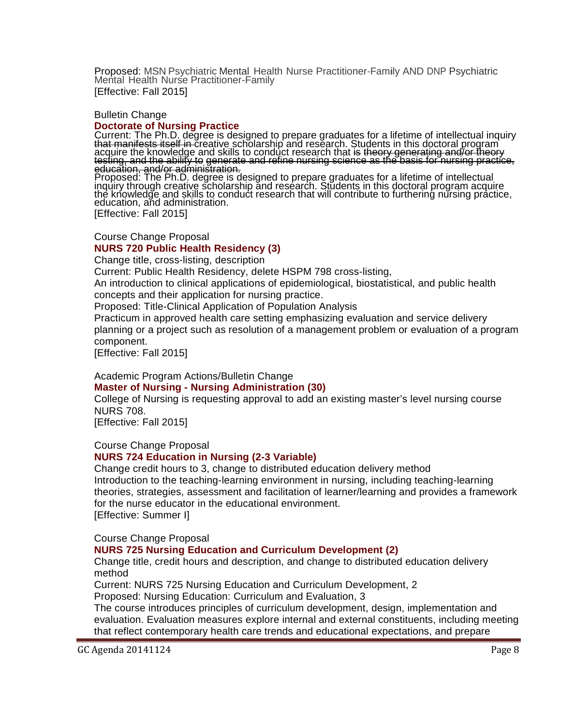Proposed: MSN Psychiatric Mental Health Nurse Practitioner-Family AND DNP Psychiatric<br>Mental Health Nurse Practitioner-Family [Effective: Fall 2015]

### Bulletin Change

## **[Doctorate of Nursing Practice](http://gradschool.sc.edu/facstaff/gradcouncil/2014/Doctorate%20of%20Nursing%20Practice%20BCH.pdf)**

Current: The Ph.D. degree is designed to prepare graduates for a lifetime of intellectual inquiry<br><del>that manifests itself in </del>creative scholarship and research. Students in this doctoral program acquire the knowledge and skills to conduct research that <del>is theory generating and/or theory</del><br>testing, and the ability to generate and refine nursing science as the basis for nursing practice, education, and/or administration.<br>Proposed: The Ph.D. degree is designed to prepare graduates for a lifetime of intellectual<sub>.</sub>

inquiry through creative scholarship and research. Students in this doctoral program acquire the knowledge and skills to conduct research that will contribute to furthering nursing practice, education, and administration.

[Effective: Fall 2015]

### Course Change Proposal **[NURS 720 Public Health Residency](http://gradschool.sc.edu/facstaff/gradcouncil/2014/NURS%20720.pdf) (3)**

Change title, cross-listing, description

Current: Public Health Residency, delete HSPM 798 cross-listing,

An introduction to clinical applications of epidemiological, biostatistical, and public health concepts and their application for nursing practice.

Proposed: Title-Clinical Application of Population Analysis

Practicum in approved health care setting emphasizing evaluation and service delivery planning or a project such as resolution of a management problem or evaluation of a program component.

[Effective: Fall 2015]

Academic Program Actions/Bulletin Change

**Master of Nursing - [Nursing Administration](http://gradschool.sc.edu/facstaff/gradcouncil/2014/Master%20of%20Nursing%20-%20Nursing%20Administration%20APA.pdf) (30)**

College of Nursing is requesting approval to add an existing master's level nursing course NURS 708.

[Effective: Fall 2015]

Course Change Proposal

### **[NURS 724 Education in Nursing](http://gradschool.sc.edu/facstaff/gradcouncil/2014/NURS%20724%20CCP.pdf) (2-3 Variable)**

Change credit hours to 3, change to distributed education delivery method Introduction to the teaching-learning environment in nursing, including teaching-learning theories, strategies, assessment and facilitation of learner/learning and provides a framework for the nurse educator in the educational environment. [Effective: Summer I]

Course Change Proposal

### **[NURS 725 Nursing Education and Curriculum Development](http://gradschool.sc.edu/facstaff/gradcouncil/2014/NURS%20725%20CCP.pdf) (2)**

Change title, credit hours and description, and change to distributed education delivery method

Current: [NURS 725 Nursing Education and Curriculum Development,](http://gradschool.sc.edu/facstaff/gradcouncil/2014/NURS%20725%20CCP.pdf) 2

Proposed: Nursing Education: Curriculum and Evaluation, 3

The course introduces principles of curriculum development, design, implementation and evaluation. Evaluation measures explore internal and external constituents, including meeting that reflect contemporary health care trends and educational expectations, and prepare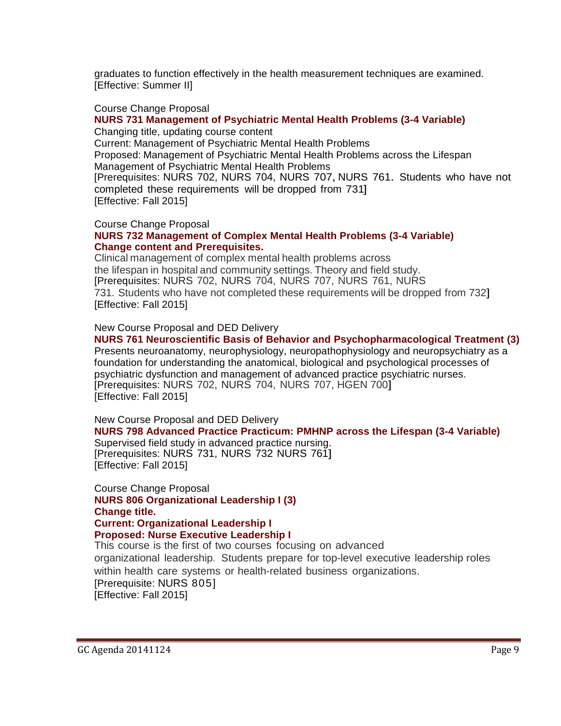graduates to function effectively in the health measurement techniques are examined. [Effective: Summer II]

### Course Change Proposal

### **[NURS 731 Management of Psychiatric Mental Health Problems](http://gradschool.sc.edu/facstaff/gradcouncil/2014/NURS%20731%20CCP.pdf) (3-4 Variable)** Changing title, updating course content

Current: Management of Psychiatric Mental Health Problems Proposed: Management of Psychiatric Mental Health Problems across the Lifespan Management of Psychiatric Mental Health Problems [Prerequisites: NURS 702, NURS 704, NURS 707, NURS 761. Students who have not completed these requirements will be dropped from 731]

[Effective: Fall 2015]

### Course Change Proposal

### **[NURS 732 Management of Complex Mental Health Problems](http://gradschool.sc.edu/facstaff/gradcouncil/2014/NURS%20732%20CC.pdf) (3-4 Variable) Change content and Prerequisites.**

Clinical management of complex mental health problems across the lifespan in hospital and community settings. Theory and field study. [Prerequisites: NURS 702, NURS 704, NURS 707, NURS 761, NURS 731. Students who have not completed these requirements will be dropped from 732] [Effective: Fall 2015]

### New Course Proposal and DED Delivery

## **[NURS 761 Neuroscientific Basis of Behavior and Psychopharmacological Treatment](http://gradschool.sc.edu/facstaff/gradcouncil/2014/NURS%20761%20NCP.pdf) (3)**

Presents neuroanatomy, neurophysiology, neuropathophysiology and neuropsychiatry as a foundation for understanding the anatomical, biological and psychological processes of psychiatric dysfunction and management of advanced practice psychiatric nurses. [Prerequisites: NURS 702, NURS 704, NURS 707, HGEN 700] [Effective: Fall 2015]

New Course Proposal and DED Delivery **[NURS 798 Advanced Practice Practicum: PMHNP across the Lifespan](http://gradschool.sc.edu/facstaff/gradcouncil/2014/NURS%20798%20NCP.pdf) (3-4 Variable)** Supervised field study in advanced practice nursing.

[Prerequisites: NURS 731, NURS 732 NURS 761] [Effective: Fall 2015]

Course Change Proposal **[NURS 806 Organizational Leadership I](http://gradschool.sc.edu/facstaff/gradcouncil/2014/NURS%20806%20CCP.pdf) (3) Change title. Current: Organizational Leadership I Proposed: Nurse Executive Leadership I** This course is the first of two courses focusing on advanced organizational leadership. Students prepare for top-level executive leadership roles

within health care systems or health-related business organizations. [Prerequisite: NURS 805]

[Effective: Fall 2015]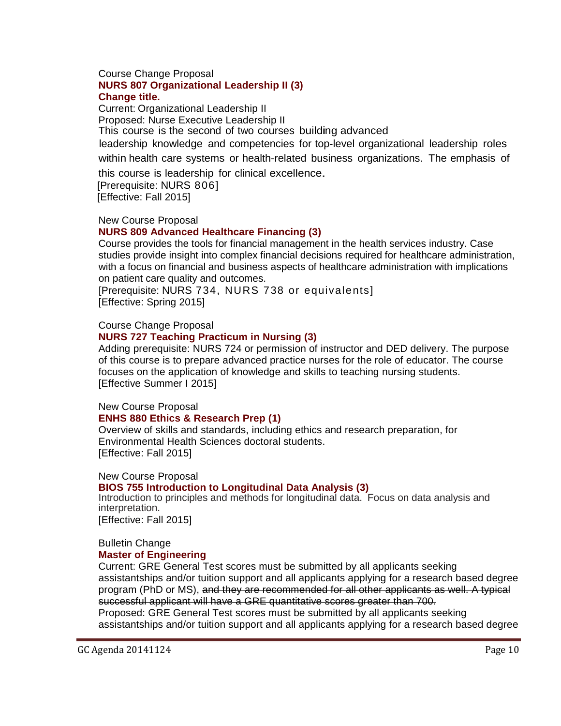### Course Change Proposal **[NURS 807 Organizational Leadership II](http://gradschool.sc.edu/facstaff/gradcouncil/2014/NURS%20807%20CCP.pdf) (3) Change title.**

Current: Organizational Leadership II Proposed: Nurse Executive Leadership II This course is the second of two courses building advanced leadership knowledge and competencies for top-level organizational leadership roles

within health care systems or health-related business organizations. The emphasis of

this course is leadership for clinical excellence. [Prerequisite: NURS 806] [Effective: Fall 2015]

### New Course Proposal

### **[NURS 809 Advanced Healthcare Financing](http://gradschool.sc.edu/facstaff/gradcouncil/2014/NURS%20809%20NCP.pdf) (3)**

Course provides the tools for financial management in the health services industry. Case studies provide insight into complex financial decisions required for healthcare administration, with a focus on financial and business aspects of healthcare administration with implications on patient care quality and outcomes.

[Prerequisite: NURS 734, NURS 738 or equivalents] [Effective: Spring 2015]

### Course Change Proposal

### **[NURS 727 Teaching Practicum in Nursing](http://gradschool.sc.edu/facstaff/gradcouncil/2014/Nursing%20727%20CCP.pdf) (3)**

Adding prerequisite: NURS 724 or permission of instructor and DED delivery. The purpose of this course is to prepare advanced practice nurses for the role of educator. The course focuses on the application of knowledge and skills to teaching nursing students. [Effective Summer I 2015]

New Course Proposal

### **[ENHS 880 Ethics & Research Prep](http://gradschool.sc.edu/facstaff/gradcouncil/2014/ENHS%20880%20NCP1.pdf) (1)**

Overview of skills and standards, including ethics and research preparation, for Environmental Health Sciences doctoral students. [Effective: Fall 2015]

New Course Proposal

# **[BIOS 755 Introduction to Longitudinal Data Analysis](http://gradschool.sc.edu/facstaff/gradcouncil/2014/BIOS%20755%20NCP1.pdf) (3)**

Introduction to principles and methods for longitudinal data. Focus on data analysis and interpretation.

[Effective: Fall 2015]

### Bulletin Change **[Master of Engineering](http://gradschool.sc.edu/facstaff/gradcouncil/2014/Master%20of%20Engineering%20ME%20BCH_Redacted1.pdf)**

Current: GRE General Test scores must be submitted by all applicants seeking assistantships and/or tuition support and all applicants applying for a research based degree program (PhD or MS), and they are recommended for all other applicants as well. A typical successful applicant will have a GRE quantitative scores greater than 700. Proposed: GRE General Test scores must be submitted by all applicants seeking assistantships and/or tuition support and all applicants applying for a research based degree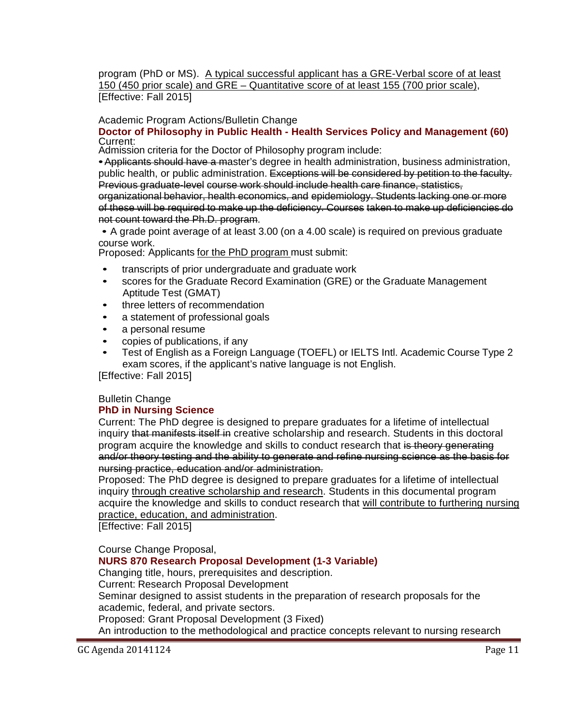program (PhD or MS). A typical successful applicant has a GRE-Verbal score of at least 150 (450 prior scale) and GRE – Quantitative score of at least 155 (700 prior scale), [Effective: Fall 2015]

Academic Program Actions/Bulletin Change

### **Doctor of Philosophy in Public Health - [Health Services Policy and Management](http://gradschool.sc.edu/facstaff/gradcouncil/2014/Doctor%20of%20Public%20Health%20HSPM%20APA_Redacted3.pdf) (60)** Current:

Admission criteria for the Doctor of Philosophy program include:

•Applicants should have a master's degree in health administration, business administration, public health, or public administration. Exceptions will be considered by petition to the faculty. Previous graduate-level course work should include health care finance, statistics,

organizational behavior, health economics, and epidemiology. Students lacking one or more of these will be required to make up the deficiency. Courses taken to make up deficiencies do not count toward the Ph.D. program.

• A grade point average of at least 3.00 (on a 4.00 scale) is required on previous graduate

Proposed: Applicants for the PhD program must submit:

- transcripts of prior undergraduate and graduate work
- scores for the Graduate Record Examination (GRE) or the Graduate Management Aptitude Test (GMAT)
- three letters of recommendation
- a statement of professional goals
- a personal resume
- copies of publications, if any
- Test of English as a Foreign Language (TOEFL) or IELTS Intl. Academic Course Type 2 exam scores, if the applicant's native language is not English.

[Effective: Fall 2015]

# Bulletin Change

# **[PhD in Nursing Science](http://gradschool.sc.edu/facstaff/gradcouncil/2014/PhD%20in%20Nursing%20Science%20BCH_Redacted.pdf)**

Current: The PhD degree is designed to prepare graduates for a lifetime of intellectual inquiry that manifests itself in creative scholarship and research. Students in this doctoral program acquire the knowledge and skills to conduct research that is theory generating and/or theory testing and the ability to generate and refine nursing science as the basis for nursing practice, education and/or administration.

Proposed: The PhD degree is designed to prepare graduates for a lifetime of intellectual inquiry through creative scholarship and research. Students in this documental program acquire the knowledge and skills to conduct research that will contribute to furthering nursing practice, education, and administration.

[Effective: Fall 2015]

Course Change Proposal,

**[NURS 870 Research Proposal Development \(](http://gradschool.sc.edu/facstaff/gradcouncil/2014/NURS%20870%20CCP_Redacted.pdf)1-3 Variable)**

Changing title, hours, prerequisites and description.

Current: Research Proposal Development

Seminar designed to assist students in the preparation of research proposals for the academic, federal, and private sectors.

Proposed: Grant Proposal Development (3 Fixed)

An introduction to the methodological and practice concepts relevant to nursing research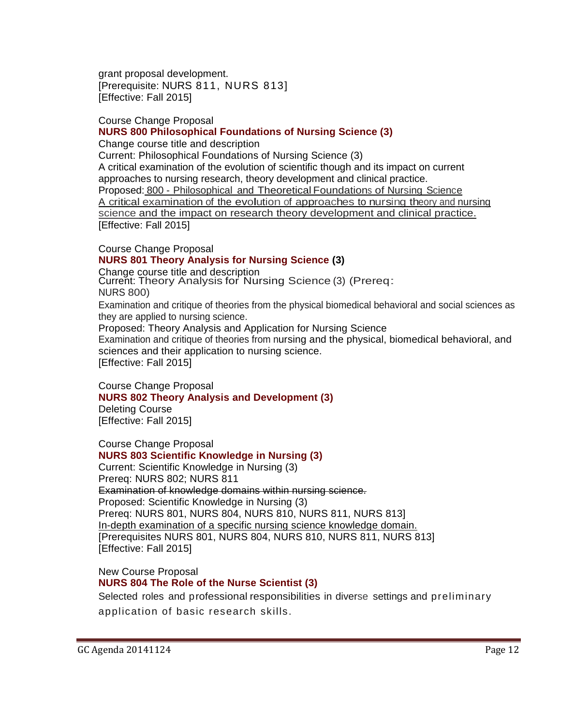grant proposal development. [Prerequisite: NURS 811, NURS 813] [Effective: Fall 2015]

### Course Change Proposal **[NURS 800 Philosophical Foundations of Nursing Science \(](http://gradschool.sc.edu/facstaff/gradcouncil/2014/NURS%20800%20CCP_Redacted.pdf)3)**

Change course title and description

Current: Philosophical Foundations of Nursing Science (3) A critical examination of the evolution of scientific though and its impact on current approaches to nursing research, theory development and clinical practice. Proposed: 800 - Philosophical and Theoretical Foundations of Nursing Science <sup>A</sup> critical examination of the evolution of approaches to nursing theory and nursing science and the impact on research theory development and clinical practice. [Effective: Fall 2015]

Course Change Proposal

# **[NURS 801 Theory Analysis for Nursing Science \(](http://gradschool.sc.edu/facstaff/gradcouncil/2014/NURS%20801%20CCP_Redacted.pdf)3)**

Change course title and description

Current: Theory Analysis for Nursing Science (3) (Prereq:

### NURS 800)

Examination and critique of theories from the physical biomedical behavioral and social sciences as they are applied to nursing science.

Proposed: Theory Analysis and Application for Nursing Science

Examination and critique of theories from nursing and the physical, biomedical behavioral, and sciences and their application to nursing science.

[Effective: Fall 2015]

Course Change Proposal **[NURS 802 Theory Analysis and Development \(](http://gradschool.sc.edu/facstaff/gradcouncil/2014/NURS%20802%20CCP_Redacted.pdf)3)** Deleting Course

[Effective: Fall 2015]

Course Change Proposal **[NURS 803 Scientific Knowledge in Nursing \(](http://gradschool.sc.edu/facstaff/gradcouncil/2014/NURS%20803%20CCP_Redacted.pdf)3)**

Current: Scientific Knowledge in Nursing (3) Prereq: NURS 802; NURS 811 Examination of knowledge domains within nursing science. Proposed: Scientific Knowledge in Nursing (3) Prereq: NURS 801, NURS 804, NURS 810, NURS 811, NURS 813] In-depth examination of a specific nursing science knowledge domain. [Prerequisites NURS 801, NURS 804, NURS 810, NURS 811, NURS 813] [Effective: Fall 2015]

New Course Proposal **[NURS 804 The Role of the Nurse Scientist \(](http://gradschool.sc.edu/facstaff/gradcouncil/2014/NURS%20804%20NCP_Redacted.pdf)3)** Selected roles and professional responsibilities in diverse settings and preliminary

application of basic research skills.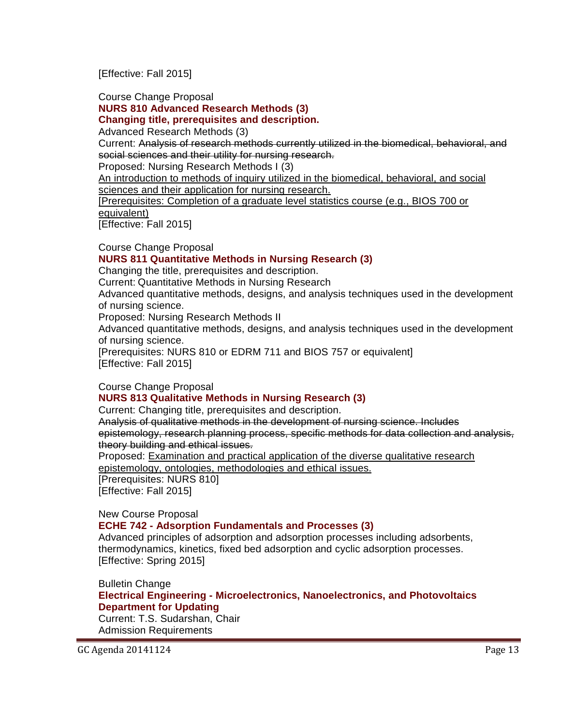[Effective: Fall 2015]

Course Change Proposal

**[NURS 810 Advanced Research Methods \(](http://gradschool.sc.edu/facstaff/gradcouncil/2014/NURS%20810%20CCP_Redacted.pdf)3)**

**Changing title, prerequisites and description.**

Advanced Research Methods (3)

Current: Analysis of research methods currently utilized in the biomedical, behavioral, and social sciences and their utility for nursing research.

Proposed: Nursing Research Methods I (3)

An introduction to methods of inquiry utilized in the biomedical, behavioral, and social sciences and their application for nursing research.

[Prerequisites: Completion of a graduate level statistics course (e.g., BIOS 700 or

equivalent)

[Effective: Fall 2015]

Course Change Proposal

# **[NURS 811 Quantitative Methods in Nursing Research \(](http://gradschool.sc.edu/facstaff/gradcouncil/2014/NURS%20811%20CCP%20BCH%20JUS%2011-3-14.pdf)3)**

Changing the title, prerequisites and description.

Current: Quantitative Methods in Nursing Research

Advanced quantitative methods, designs, and analysis techniques used in the development of nursing science.

Proposed: Nursing Research Methods II

Advanced quantitative methods, designs, and analysis techniques used in the development of nursing science.

[Prerequisites: NURS 810 or EDRM 711 and BIOS 757 or equivalent] [Effective: Fall 2015]

Course Change Proposal

### **[NURS 813 Qualitative Methods in Nursing Research \(](http://gradschool.sc.edu/facstaff/gradcouncil/2014/NURS%20813%20CCP_Redacted.pdf)3)**

Current: Changing title, prerequisites and description.

Analysis of qualitative methods in the development of nursing science. Includes epistemology, research planning process, specific methods for data collection and analysis, theory building and ethical issues.

Proposed: Examination and practical application of the diverse qualitative research epistemology, ontologies, methodologies and ethical issues.

[Prerequisites: NURS 810] [Effective: Fall 2015]

New Course Proposal

# **ECHE 742 - [Adsorption Fundamentals and Processes](http://gradschool.sc.edu/facstaff/gradcouncil/2014/ECHE%20742%20NCP_Redacted2.pdf) (3)**

Advanced principles of adsorption and adsorption processes including adsorbents, thermodynamics, kinetics, fixed bed adsorption and cyclic adsorption processes. [Effective: Spring 2015]

Bulletin Change

**Electrical Engineering - [Microelectronics, Nanoelectronics, and Photovoltaics](http://gradschool.sc.edu/facstaff/gradcouncil/2014/Electrical%20Engineering%20BCH%209262014_Redacted.pdf)  [Department for Updating](http://gradschool.sc.edu/facstaff/gradcouncil/2014/Electrical%20Engineering%20BCH%209262014_Redacted.pdf)**

Current: T.S. Sudarshan, Chair Admission Requirements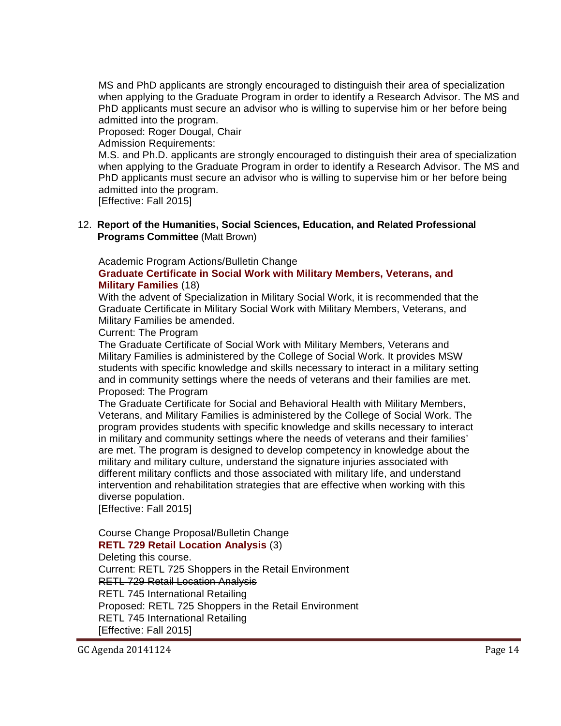MS and PhD applicants are strongly encouraged to distinguish their area of specialization when applying to the Graduate Program in order to identify a Research Advisor. The MS and PhD applicants must secure an advisor who is willing to supervise him or her before being admitted into the program.

Proposed: Roger Dougal, Chair

Admission Requirements:

M.S. and Ph.D. applicants are strongly encouraged to distinguish their area of specialization when applying to the Graduate Program in order to identify a Research Advisor. The MS and PhD applicants must secure an advisor who is willing to supervise him or her before being admitted into the program.

[Effective: Fall 2015]

12. **Report of the Humanities, Social Sciences, Education, and Related Professional Programs Committee** (Matt Brown)

Academic Program Actions/Bulletin Change

### **[Graduate Certificate in Social Work with Military Members, Veterans, and](http://gradschool.sc.edu/facstaff/gradcouncil/2014/SWw-militarymemsAPA_Redacted1.pdf)  [Military Families](http://gradschool.sc.edu/facstaff/gradcouncil/2014/SWw-militarymemsAPA_Redacted1.pdf)** (18)

With the advent of Specialization in Military Social Work, it is recommended that the Graduate Certificate in Military Social Work with Military Members, Veterans, and Military Families be amended.

Current: The Program

The Graduate Certificate of Social Work with Military Members, Veterans and Military Families is administered by the College of Social Work. It provides MSW students with specific knowledge and skills necessary to interact in a military setting and in community settings where the needs of veterans and their families are met. Proposed: The Program

The Graduate Certificate for Social and Behavioral Health with Military Members, Veterans, and Military Families is administered by the College of Social Work. The program provides students with specific knowledge and skills necessary to interact in military and community settings where the needs of veterans and their families' are met. The program is designed to develop competency in knowledge about the military and military culture, understand the signature injuries associated with different military conflicts and those associated with military life, and understand intervention and rehabilitation strategies that are effective when working with this diverse population.

[Effective: Fall 2015]

# Course Change Proposal/Bulletin Change

**[RETL 729 Retail Location Analysis](http://gradschool.sc.edu/facstaff/gradcouncil/2014/RETL%20729%20ccp_Redacted.pdf)** (3) Deleting this course. Current: RETL 725 Shoppers in the Retail Environment RETL 729 Retail Location Analysis RETL 745 International Retailing Proposed: RETL 725 Shoppers in the Retail Environment RETL 745 International Retailing [Effective: Fall 2015]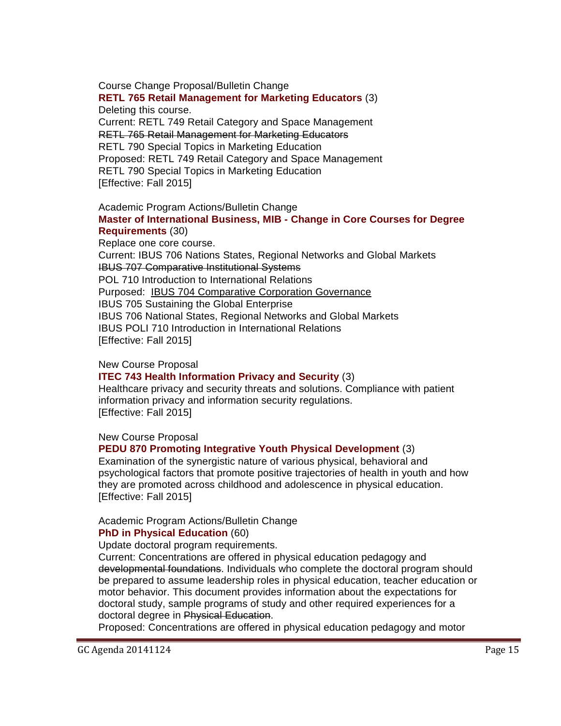Course Change Proposal/Bulletin Change

**[RETL 765 Retail Management for Marketing Educators](http://gradschool.sc.edu/facstaff/gradcouncil/2014/RETL%20765%20CCP_Redacted.pdf)** (3) Deleting this course. Current: RETL 749 Retail Category and Space Management RETL 765 Retail Management for Marketing Educators RETL 790 Special Topics in Marketing Education Proposed: RETL 749 Retail Category and Space Management RETL 790 Special Topics in Marketing Education [Effective: Fall 2015]

### Academic Program Actions/Bulletin Change **[Master of International Business, MIB -](http://gradschool.sc.edu/facstaff/gradcouncil/2014/Master%20of%20Internl%20Biz%20APA.pdf) Change in Core Courses for Degree [Requirements](http://gradschool.sc.edu/facstaff/gradcouncil/2014/Master%20of%20Internl%20Biz%20APA.pdf)** (30)

Replace one core course. Current: IBUS 706 Nations States, Regional Networks and Global Markets IBUS 707 Comparative Institutional Systems POL 710 Introduction to International Relations Purposed: IBUS 704 Comparative Corporation Governance IBUS 705 Sustaining the Global Enterprise IBUS 706 National States, Regional Networks and Global Markets IBUS POLI 710 Introduction in International Relations [Effective: Fall 2015]

### New Course Proposal

### **[ITEC 743 Health Information Privacy and Security](http://gradschool.sc.edu/facstaff/gradcouncil/2014/ITEC%20743%20NCP_Redacted2.pdf)** (3)

Healthcare privacy and security threats and solutions. Compliance with patient information privacy and information security regulations. [Effective: Fall 2015]

### New Course Proposal

### **[PEDU 870 Promoting Integrative Youth Physical Development](http://gradschool.sc.edu/facstaff/gradcouncil/2014/PEDU%20870%20-%20NCP_Redacted.pdf)** (3)

Examination of the synergistic nature of various physical, behavioral and psychological factors that promote positive trajectories of health in youth and how they are promoted across childhood and adolescence in physical education. [Effective: Fall 2015]

### Academic Program Actions/Bulletin Change **[PhD in Physical Education](http://gradschool.sc.edu/facstaff/gradcouncil/2014/Physical%20Education%20PE%20-%20APA_Redacted.pdf)** (60)

Update doctoral program requirements.

Current: Concentrations are offered in physical education pedagogy and developmental foundations. Individuals who complete the doctoral program should be prepared to assume leadership roles in physical education, teacher education or motor behavior. This document provides information about the expectations for doctoral study, sample programs of study and other required experiences for a doctoral degree in Physical Education.

Proposed: Concentrations are offered in physical education pedagogy and motor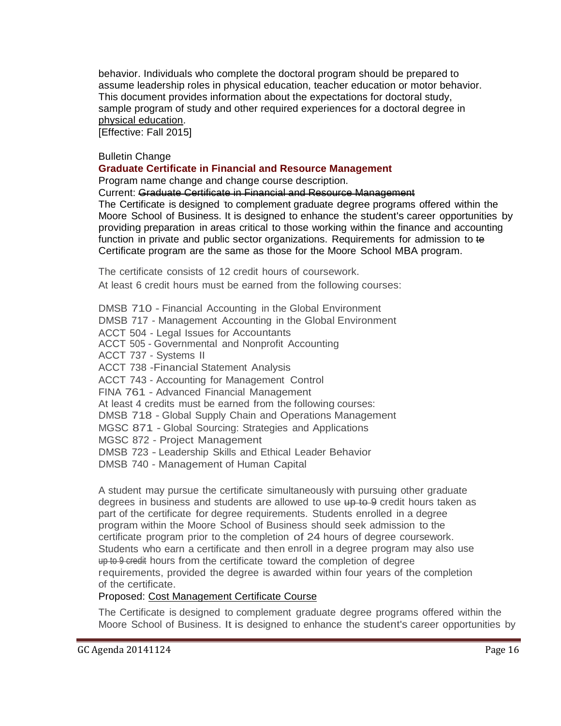behavior. Individuals who complete the doctoral program should be prepared to assume leadership roles in physical education, teacher education or motor behavior. This document provides information about the expectations for doctoral study, sample program of study and other required experiences for a doctoral degree in physical education.

[Effective: Fall 2015]

### Bulletin Change

### **[Graduate Certificate in Financial and Resource Management](http://gradschool.sc.edu/facstaff/gradcouncil/2014/Graduate%20Certificate%20in%20Financial%20and%20Resource%20Management%20BCH_Redacted.pdf)**

Program name change and change course description.

Current: Graduate Certificate in Financial and Resource Management

The Certificate is designed 'to complement graduate degree programs offered within the Moore School of Business. It is designed to enhance the student's career opportunities by providing preparation in areas critical to those working within the finance and accounting function in private and public sector organizations. Requirements for admission to te Certificate program are the same as those for the Moore School MBA program.

The certificate consists of 12 credit hours of coursework.

At least 6 credit hours must be earned from the following courses:

DMSB 710 - Financial Accounting in the Global Environment DMSB 717 - Management Accounting in the Global Environment ACCT 504 - Legal Issues for Accountants ACCT 505 - Governmental and Nonprofit Accounting ACCT 737 - Systems II ACCT 738 -Financial Statement Analysis ACCT 743 - Accounting for Management Control FINA 761 - Advanced Financial Management At least 4 credits must be earned from the following courses: DMSB 718 - Global Supply Chain and Operations Management MGSC 871 - Global Sourcing: Strategies and Applications MGSC 872 - Project Management DMSB 723 - Leadership Skills and Ethical Leader Behavior DMSB 740 - Management of Human Capital

A student may pursue the certificate simultaneously with pursuing other graduate degrees in business and students are allowed to use up to 9 credit hours taken as part of the certificate for degree requirements. Students enrolled in a degree program within the Moore School of Business should seek admission to the certificate program prior to the completion of 24 hours of degree coursework. Students who earn a certificate and then enroll in a degree program may also use up to 9 credit hours from the certificate toward the completion of degree requirements, provided the degree is awarded within four years of the completion of the certificate.

### Proposed: Cost Management Certificate Course

The Certificate is designed to complement graduate degree programs offered within the Moore School of Business. It is designed to enhance the student's career opportunities by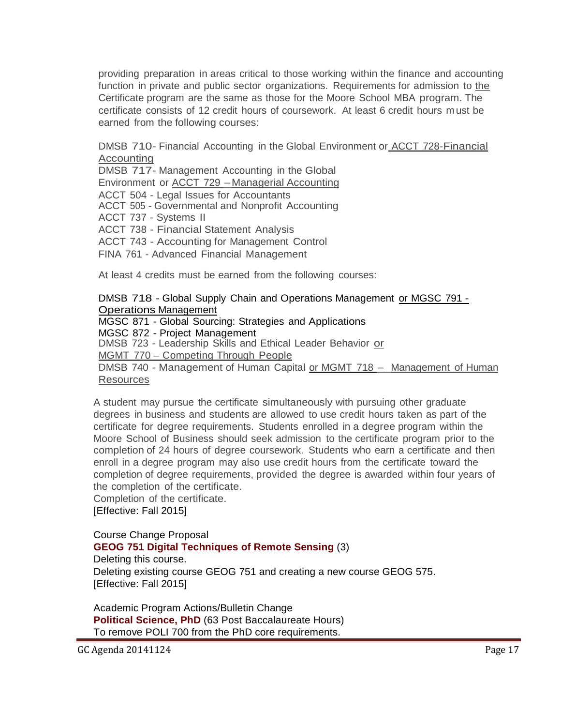providing preparation in areas critical to those working within the finance and accounting function in private and public sector organizations. Requirements for admission to the Certificate program are the same as those for the Moore School MBA program. The certificate consists of 12 credit hours of coursework. At least 6 credit hours m ust be earned from the following courses:

DMSB 710- Financial Accounting in the Global Environment or **ACCT 728-Financial** Accounting

DMSB 717- Management Accounting in the Global

Environment or ACCT 729 - Managerial Accounting

ACCT 504 - Legal Issues for Accountants

ACCT 505 - Governmental and Nonprofit Accounting

ACCT 737 - Systems II

ACCT 738 - Financial Statement Analysis

ACCT 743 - Accounting for Management Control

FINA 761 - Advanced Financial Management

At least 4 credits must be earned from the following courses:

### DMSB 718 - Global Supply Chain and Operations Management or MGSC 791 - Operations Management

MGSC 871 - Global Sourcing: Strategies and Applications

MGSC 872 - Project Management

DMSB 723 - Leadership Skills and Ethical Leader Behavior or

MGMT 770 – Competing Through People

DMSB 740 - Management of Human Capital or MGMT 718 - Management of Human Resources

A student may pursue the certificate simultaneously with pursuing other graduate degrees in business and students are allowed to use credit hours taken as part of the certificate for degree requirements. Students enrolled in a degree program within the Moore School of Business should seek admission to the certificate program prior to the completion of 24 hours of degree coursework. Students who earn a certificate and then enroll in a degree program may also use credit hours from the certificate toward the completion of degree requirements, provided the degree is awarded within four years of the completion of the certificate.

Completion of the certificate.

[Effective: Fall 2015]

Course Change Proposal **[GEOG 751 Digital Techniques of Remote Sensing](http://gradschool.sc.edu/facstaff/gradcouncil/2014/GEOG%20751%20CCP_Redacted.pdf)** (3) Deleting this course. Deleting existing course GEOG 751 and creating a new course GEOG 575. [Effective: Fall 2015]

Academic Program Actions/Bulletin Change **Political Science, PhD** [\(63 Post Baccalaureate](http://gradschool.sc.edu/facstaff/gradcouncil/2014/Political%20Science%20PhD%20APA_Redacted.pdf) Hours) [To remove POLI 700 from the PhD core requirements.](http://gradschool.sc.edu/facstaff/gradcouncil/2014/Political%20Science%20PhD%20APA_Redacted.pdf)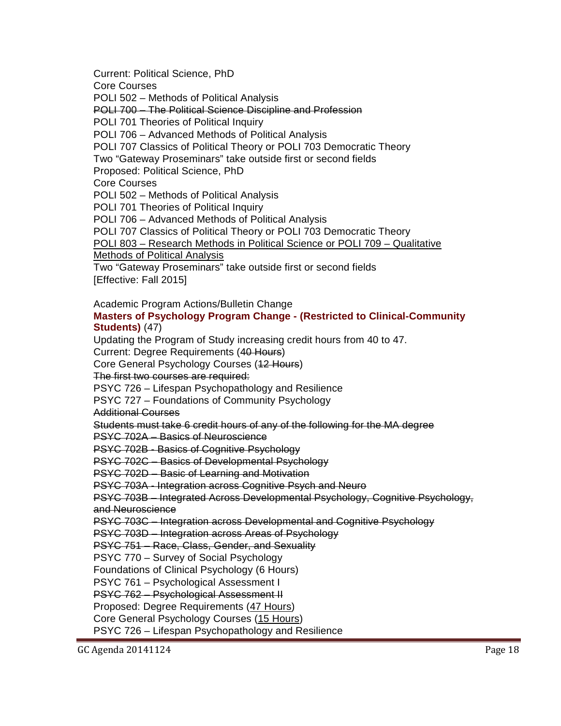Current: Political Science, PhD Core Courses POLI 502 – Methods of Political Analysis POLI 700 – The Political Science Discipline and Profession POLI 701 Theories of Political Inquiry POLI 706 – Advanced Methods of Political Analysis POLI 707 Classics of Political Theory or POLI 703 Democratic Theory Two "Gateway Proseminars" take outside first or second fields Proposed: Political Science, PhD Core Courses POLI 502 – Methods of Political Analysis POLI 701 Theories of Political Inquiry POLI 706 – Advanced Methods of Political Analysis POLI 707 Classics of Political Theory or POLI 703 Democratic Theory POLI 803 – Research Methods in Political Science or POLI 709 – Qualitative Methods of Political Analysis Two "Gateway Proseminars" take outside first or second fields [Effective: Fall 2015]

Academic Program Actions/Bulletin Change

### **[Masters of Psychology Program Change -](http://gradschool.sc.edu/facstaff/gradcouncil/2014/Masters%20of%20Psychology%20Program%20Change_Redacted1.pdf) (Restricted to Clinical-Community [Students\)](http://gradschool.sc.edu/facstaff/gradcouncil/2014/Masters%20of%20Psychology%20Program%20Change_Redacted1.pdf)** (47)

Updating the Program of Study increasing credit hours from 40 to 47. Current: Degree Requirements (40 Hours) Core General Psychology Courses (12 Hours) The first two courses are required: PSYC 726 – Lifespan Psychopathology and Resilience PSYC 727 – Foundations of Community Psychology Additional Courses Students must take 6 credit hours of any of the following for the MA degree PSYC 702A – Basics of Neuroscience PSYC 702B - Basics of Cognitive Psychology PSYC 702C – Basics of Developmental Psychology PSYC 702D – Basic of Learning and Motivation PSYC 703A - Integration across Cognitive Psych and Neuro PSYC 703B – Integrated Across Developmental Psychology, Cognitive Psychology, and Neuroscience PSYC 703C – Integration across Developmental and Cognitive Psychology PSYC 703D – Integration across Areas of Psychology PSYC 751 – Race, Class, Gender, and Sexuality PSYC 770 – Survey of Social Psychology Foundations of Clinical Psychology (6 Hours) PSYC 761 – Psychological Assessment I PSYC 762 – Psychological Assessment II Proposed: Degree Requirements (47 Hours)

Core General Psychology Courses (15 Hours)

PSYC 726 – Lifespan Psychopathology and Resilience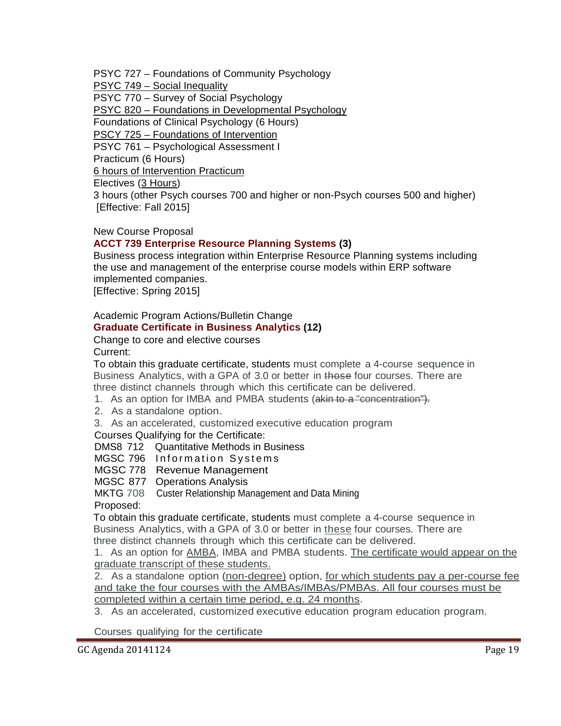PSYC 727 – Foundations of Community Psychology

PSYC 749 – Social Inequality

PSYC 770 – Survey of Social Psychology

PSYC 820 – Foundations in Developmental Psychology

Foundations of Clinical Psychology (6 Hours)

PSCY 725 – Foundations of Intervention

PSYC 761 – Psychological Assessment I

Practicum (6 Hours)

6 hours of Intervention Practicum

Electives (3 Hours)

3 hours (other Psych courses 700 and higher or non-Psych courses 500 and higher) [Effective: Fall 2015]

## New Course Proposal

## **[ACCT 739 Enterprise Resource Planning Systems \(](http://gradschool.sc.edu/facstaff/gradcouncil/2014/ACCT%20739%20NCP_Redacted2pdf.pdf)3)**

Business process integration within Enterprise Resource Planning systems including the use and management of the enterprise course models within ERP software implemented companies.

[Effective: Spring 2015]

# Academic Program Actions/Bulletin Change

# **[Graduate Certificate in Business Analytics \(](http://gradschool.sc.edu/facstaff/gradcouncil/2014/Graduate%20Certificate%20in%20Business%20Analytics%20APA_Redacted3.pdf)12)**

#### Change to core and elective courses Current:

To obtain this graduate certificate, students must complete a 4-course sequence in Business Analytics, with a GPA of 3.0 or better in those four courses. There are three distinct channels through which this certificate can be delivered.

1. As an option for IMBA and PMBA students (akin to a "concentration").

2. As <sup>a</sup> standalone option.

3. As an accelerated, customized executive education program

### Courses Qualifying for the Certificate:

DMS8 712 Quantitative Methods in Business

MGSC 796 Information Systems

MGSC 778 Revenue Management

MGSC 877 Operations Analysis

MKTG 708 Custer Relationship Management and Data Mining

### Proposed:

To obtain this graduate certificate, students must complete a 4-course sequence in Business Analytics, with a GPA of 3.0 or better in these four courses. There are three distinct channels through which this certificate can be delivered.

1. As an option for AMBA, IMBA and PMBA students. The certificate would appear on the graduate transcript of these students.

2. As a standalone option (non-degree) option, for which students pay a per-course fee and take the four courses with the AMBAs/IMBAs/PMBAs. All four courses must be completed within a certain time period, e.g. 24 months.

3. As an accelerated, customized executive education program education program.

Courses qualifying for the certificate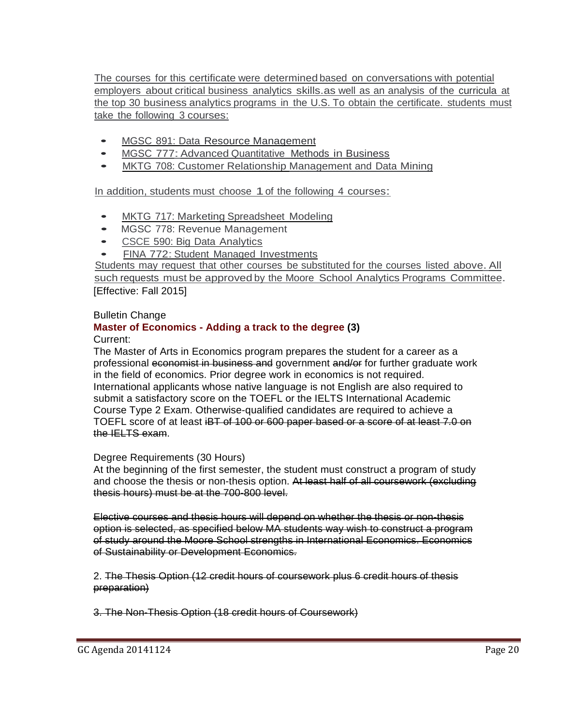The courses for this certificate were determined based on conversations with potential employers about critical business analytics skills.as well as an analysis of the curricula at the top 30 business analytics programs in the U.S. To obtain the certificate. students must take the following 3 courses:

- MGSC 891: Data Resource Management
- MGSC 777: Advanced Quantitative Methods in Business
- MKTG 708: Customer Relationship Management and Data Mining

In addition, students must choose 1of the following <sup>4</sup> courses:

- MKTG 717: Marketing Spreadsheet Modeling<br>• MGSC 778: Revenue Management
- MGSC 778: Revenue Management
- CSCE 590: Big Data Analytics
- FINA 772: Student Managed Investments

Students may request that other courses be substituted for the courses listed above.All such requests must be approved by the Moore School Analytics Programs Committee. [Effective: Fall 2015]

## Bulletin Change

# **Master of Economics - [Adding a track to the degree \(](http://gradschool.sc.edu/facstaff/gradcouncil/2014/Master%20of%20Economics-Add%20a%20track%20to%20Degree%20APA_Redacted1.pdf)3)**

## Current:

The Master of Arts in Economics program prepares the student for a career as a professional economist in business and government and/or for further graduate work in the field of economics. Prior degree work in economics is not required. International applicants whose native language is not English are also required to submit a satisfactory score on the TOEFL or the IELTS International Academic Course Type 2 Exam. Otherwise-qualified candidates are required to achieve a TOEFL score of at least iBT of 100 or 600 paper based or a score of at least 7.0 on the IELTS exam.

### Degree Requirements (30 Hours)

At the beginning of the first semester, the student must construct a program of study and choose the thesis or non-thesis option. At least half of all coursework (excluding thesis hours) must be at the 700-800 level.

Elective courses and thesis hours will depend on whether the thesis or non-thesis option is selected, as specified below MA students way wish to construct a program of study around the Moore School strengths in International Economics. Economics of Sustainability or Development Economics.

2. The Thesis Option (12 credit hours of coursework plus 6 credit hours of thesis preparation)

3. The Non-Thesis Option (18 credit hours of Coursework)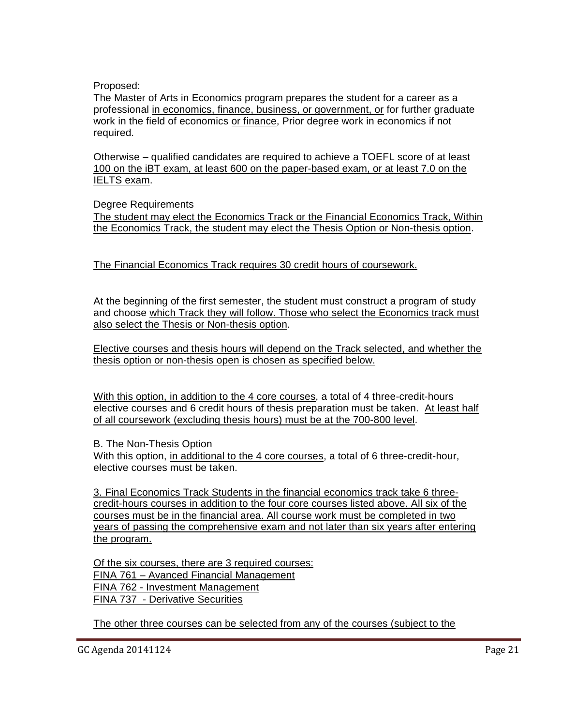Proposed:

The Master of Arts in Economics program prepares the student for a career as a professional in economics, finance, business, or government, or for further graduate work in the field of economics or finance, Prior degree work in economics if not required.

Otherwise – qualified candidates are required to achieve a TOEFL score of at least 100 on the iBT exam, at least 600 on the paper-based exam, or at least 7.0 on the IELTS exam.

Degree Requirements

The student may elect the Economics Track or the Financial Economics Track, Within the Economics Track, the student may elect the Thesis Option or Non-thesis option.

The Financial Economics Track requires 30 credit hours of coursework.

At the beginning of the first semester, the student must construct a program of study and choose which Track they will follow. Those who select the Economics track must also select the Thesis or Non-thesis option.

Elective courses and thesis hours will depend on the Track selected, and whether the thesis option or non-thesis open is chosen as specified below.

With this option, in addition to the 4 core courses, a total of 4 three-credit-hours elective courses and 6 credit hours of thesis preparation must be taken. At least half of all coursework (excluding thesis hours) must be at the 700-800 level.

B. The Non-Thesis Option

With this option, in additional to the 4 core courses, a total of 6 three-credit-hour, elective courses must be taken.

3. Final Economics Track Students in the financial economics track take 6 threecredit-hours courses in addition to the four core courses listed above. All six of the courses must be in the financial area. All course work must be completed in two years of passing the comprehensive exam and not later than six years after entering the program.

Of the six courses, there are 3 required courses: FINA 761 – Avanced Financial Management FINA 762 - Investment Management FINA 737 - Derivative Securities

The other three courses can be selected from any of the courses (subject to the